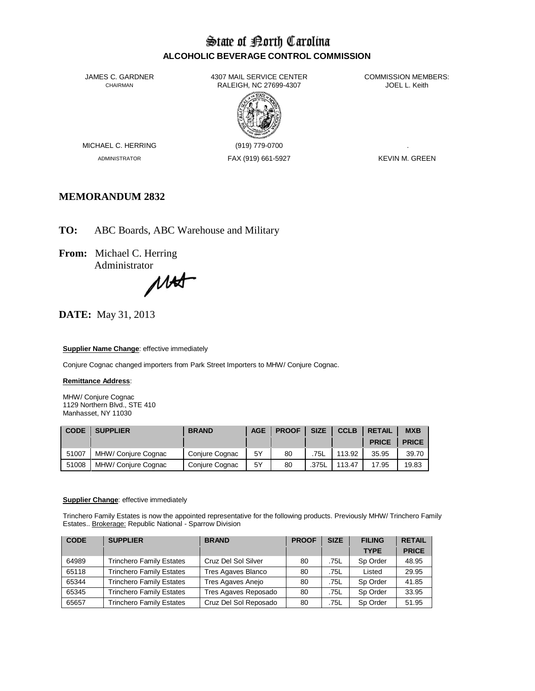# State of Borth Carolina **ALCOHOLIC BEVERAGE CONTROL COMMISSION**

JAMES C. GARDNER 4307 MAIL SERVICE CENTER<br>CHAIRMAN CHAIRMAN RALEIGH, NC 27699-4307 RALEIGH, NC 27699-4307



MICHAEL C. HERRING (919) 779-0700

ADMINISTRATOR FAX (919) 661-5927 KEVIN M. GREEN

# **MEMORANDUM 2832**

**TO:** ABC Boards, ABC Warehouse and Military

**From:** Michael C. Herring

Administrator<br>MA

**DATE:** May 31, 2013

### **Supplier Name Change**: effective immediately

Conjure Cognac changed importers from Park Street Importers to MHW/ Conjure Cognac.

### **Remittance Address**:

MHW/ Conjure Cognac 1129 Northern Blvd., STE 410 Manhasset, NY 11030

| <b>CODE</b> | <b>SUPPLIER</b>     | <b>BRAND</b>   | <b>AGE</b> | <b>PROOF</b> | <b>SIZE</b> | ICCLB  | <b>RETAIL</b> | <b>MXB</b>   |
|-------------|---------------------|----------------|------------|--------------|-------------|--------|---------------|--------------|
|             |                     |                |            |              |             |        | <b>PRICE</b>  | <b>PRICE</b> |
| 51007       | MHW/ Conjure Cognac | Conjure Cognac | 5Υ         | 80           | 75L         | 113.92 | 35.95         | 39.70        |
| 51008       | MHW/ Conjure Cognac | Conjure Cognac | 5Y         | 80           | .375L       | 113.47 | 17.95         | 19.83        |

### **Supplier Change**: effective immediately

Trinchero Family Estates is now the appointed representative for the following products. Previously MHW/ Trinchero Family Estates.. Brokerage: Republic National - Sparrow Division

| <b>CODE</b> | <b>SUPPLIER</b>                 | <b>BRAND</b>          | <b>PROOF</b> | <b>SIZE</b> | <b>FILING</b> | <b>RETAIL</b> |
|-------------|---------------------------------|-----------------------|--------------|-------------|---------------|---------------|
|             |                                 |                       |              |             | <b>TYPE</b>   | <b>PRICE</b>  |
| 64989       | <b>Trinchero Family Estates</b> | Cruz Del Sol Silver   | 80           | .75L        | Sp Order      | 48.95         |
| 65118       | <b>Trinchero Family Estates</b> | Tres Agaves Blanco    | 80           | .75L        | Listed        | 29.95         |
| 65344       | <b>Trinchero Family Estates</b> | Tres Agaves Anejo     | 80           | .75L        | Sp Order      | 41.85         |
| 65345       | <b>Trinchero Family Estates</b> | Tres Agaves Reposado  | 80           | .75L        | Sp Order      | 33.95         |
| 65657       | <b>Trinchero Family Estates</b> | Cruz Del Sol Reposado | 80           | .75L        | Sp Order      | 51.95         |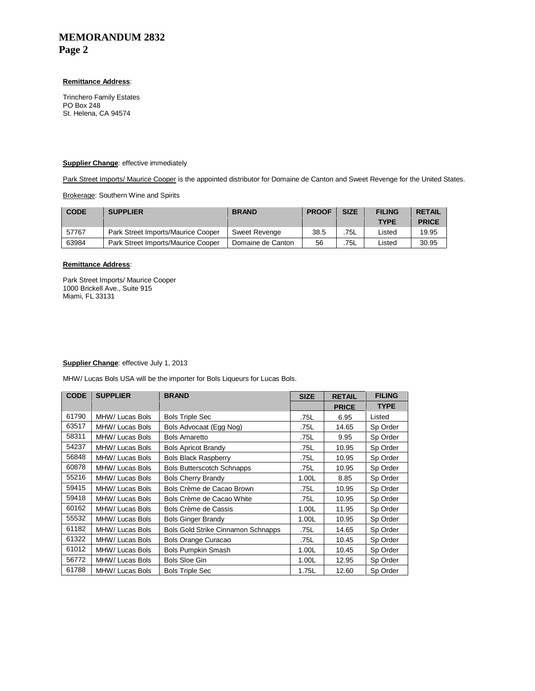# **MEMORANDUM 2832 Page 2**

## **Remittance Address**:

Trinchero Family Estates PO Box 248 St. Helena, CA 94574

#### **Supplier Change**: effective immediately

Park Street Imports/ Maurice Cooper is the appointed distributor for Domaine de Canton and Sweet Revenge for the United States.

**Brokerage: Southern Wine and Spirits** 

| <b>CODE</b> | <b>SUPPLIER</b>                           | <b>BRAND</b>      | <b>PROOF</b> | <b>SIZE</b> | <b>FILING</b> | <b>RETAIL</b> |
|-------------|-------------------------------------------|-------------------|--------------|-------------|---------------|---------------|
|             |                                           |                   |              |             | <b>TYPE</b>   | <b>PRICE</b>  |
| 57767       | <b>Park Street Imports/Maurice Cooper</b> | Sweet Revenge     | 38.5         | .75L        | _isted        | 19.95         |
| 63984       | Park Street Imports/Maurice Cooper        | Domaine de Canton | 56           | 75L         | Listed        | 30.95         |

## **Remittance Address**:

Park Street Imports/ Maurice Cooper 1000 Brickell Ave., Suite 915 Miami, FL 33131

#### **Supplier Change**: effective July 1, 2013

MHW/ Lucas Bols USA will be the importer for Bols Liqueurs for Lucas Bols.

| <b>CODE</b> | <b>SUPPLIER</b> | <b>BRAND</b>                              | <b>SIZE</b> | <b>RETAIL</b> | <b>FILING</b> |
|-------------|-----------------|-------------------------------------------|-------------|---------------|---------------|
|             |                 |                                           |             | <b>PRICE</b>  | <b>TYPE</b>   |
| 61790       | MHW/ Lucas Bols | <b>Bols Triple Sec</b>                    | .75L        | 6.95          | Listed        |
| 63517       | MHW/ Lucas Bols | Bols Advocaat (Egg Nog)                   | .75L        | 14.65         | Sp Order      |
| 58311       | MHW/ Lucas Bols | <b>Bols Amaretto</b>                      | .75L        | 9.95          | Sp Order      |
| 54237       | MHW/ Lucas Bols | <b>Bols Apricot Brandy</b>                | .75L        | 10.95         | Sp Order      |
| 56848       | MHW/ Lucas Bols | <b>Bols Black Raspberry</b>               | .75L        | 10.95         | Sp Order      |
| 60878       | MHW/ Lucas Bols | <b>Bols Butterscotch Schnapps</b>         | .75L        | 10.95         | Sp Order      |
| 55216       | MHW/ Lucas Bols | <b>Bols Cherry Brandy</b>                 | 1.00L       | 8.85          | Sp Order      |
| 59415       | MHW/ Lucas Bols | Bols Crème de Cacao Brown                 | .75L        | 10.95         | Sp Order      |
| 59418       | MHW/ Lucas Bols | Bols Crème de Cacao White                 | .75L        | 10.95         | Sp Order      |
| 60162       | MHW/ Lucas Bols | Bols Crème de Cassis                      | 1.00L       | 11.95         | Sp Order      |
| 55532       | MHW/ Lucas Bols | <b>Bols Ginger Brandy</b>                 | 1.00L       | 10.95         | Sp Order      |
| 61182       | MHW/ Lucas Bols | <b>Bols Gold Strike Cinnamon Schnapps</b> | .75L        | 14.65         | Sp Order      |
| 61322       | MHW/ Lucas Bols | <b>Bols Orange Curacao</b>                | .75L        | 10.45         | Sp Order      |
| 61012       | MHW/ Lucas Bols | <b>Bols Pumpkin Smash</b>                 | 1.00L       | 10.45         | Sp Order      |
| 56772       | MHW/ Lucas Bols | <b>Bols Sloe Gin</b>                      | 1.00L       | 12.95         | Sp Order      |
| 61788       | MHW/ Lucas Bols | <b>Bols Triple Sec</b>                    | 1.75L       | 12.60         | Sp Order      |